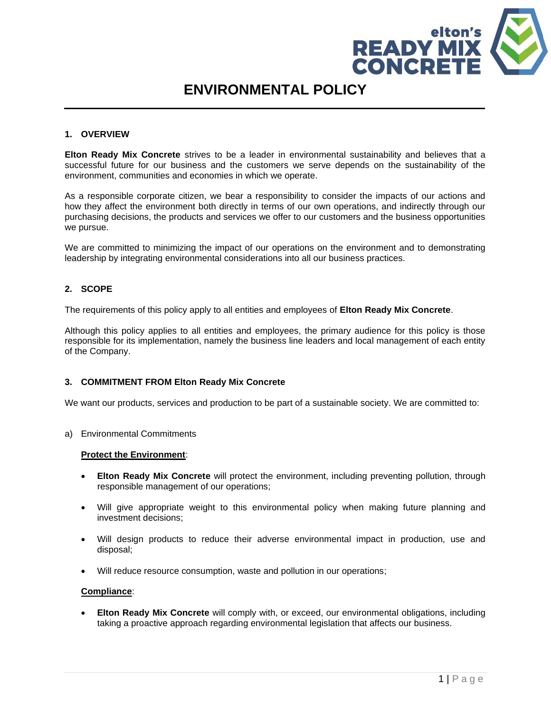

# **ENVIRONMENTAL POLICY**

# **1. OVERVIEW**

**Elton Ready Mix Concrete** strives to be a leader in environmental sustainability and believes that a successful future for our business and the customers we serve depends on the sustainability of the environment, communities and economies in which we operate.

As a responsible corporate citizen, we bear a responsibility to consider the impacts of our actions and how they affect the environment both directly in terms of our own operations, and indirectly through our purchasing decisions, the products and services we offer to our customers and the business opportunities we pursue.

We are committed to minimizing the impact of our operations on the environment and to demonstrating leadership by integrating environmental considerations into all our business practices.

# **2. SCOPE**

The requirements of this policy apply to all entities and employees of **Elton Ready Mix Concrete**.

Although this policy applies to all entities and employees, the primary audience for this policy is those responsible for its implementation, namely the business line leaders and local management of each entity of the Company.

#### **3. COMMITMENT FROM Elton Ready Mix Concrete**

We want our products, services and production to be part of a sustainable society. We are committed to:

a) Environmental Commitments

#### **Protect the Environment**:

- **Elton Ready Mix Concrete** will protect the environment, including preventing pollution, through responsible management of our operations;
- Will give appropriate weight to this environmental policy when making future planning and investment decisions;
- Will design products to reduce their adverse environmental impact in production, use and disposal;
- Will reduce resource consumption, waste and pollution in our operations;

#### **Compliance**:

• **Elton Ready Mix Concrete** will comply with, or exceed, our environmental obligations, including taking a proactive approach regarding environmental legislation that affects our business.